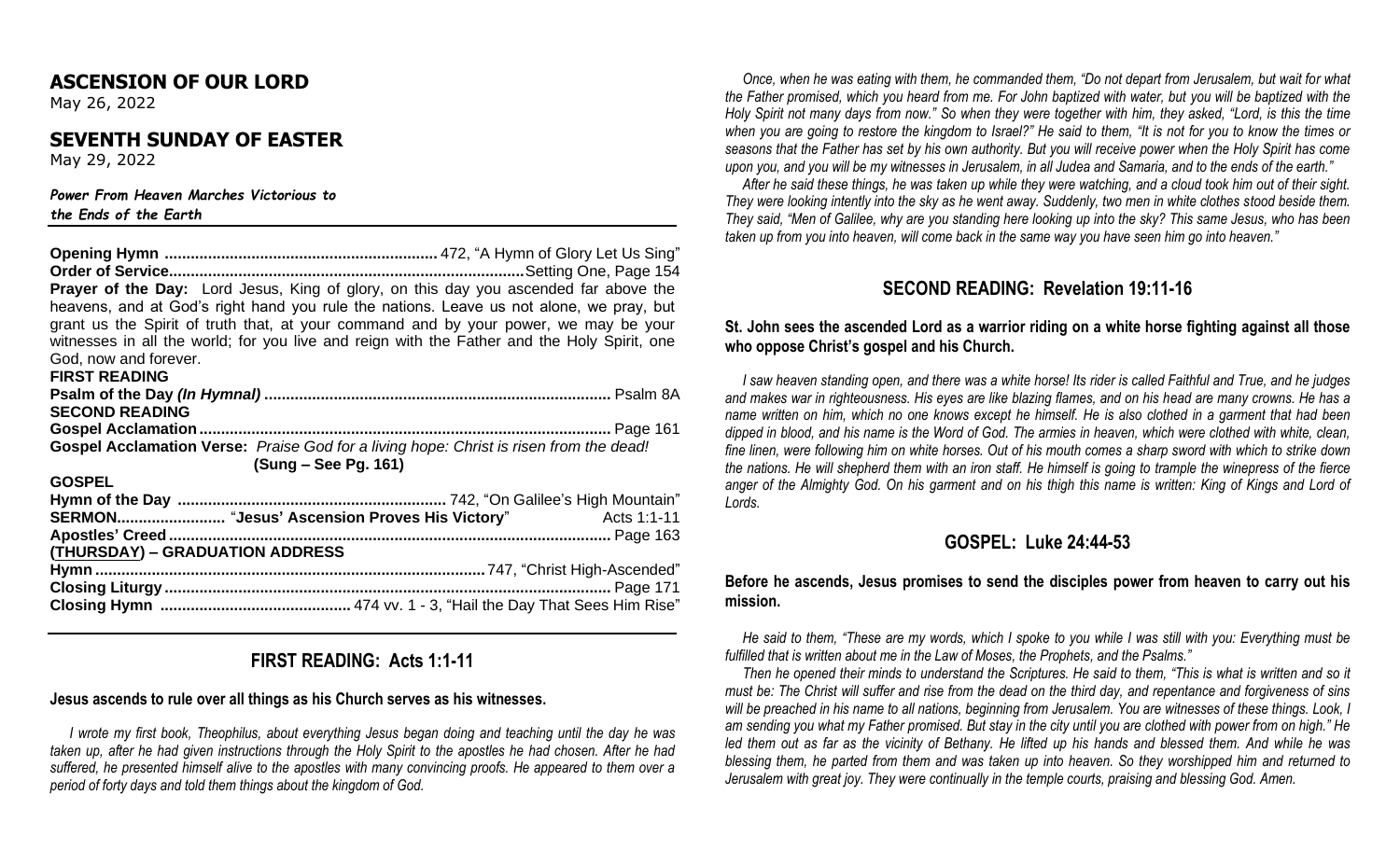### **ASCENSION OF OUR LORD**

May 26, 2022

### **SEVENTH SUNDAY OF EASTER**

May 29, 2022

#### *Power From Heaven Marches Victorious to the Ends of the Earth*

**Opening Hymn ...............................................................** 472, "A Hymn of Glory Let Us Sing" **Order of Service..................................................................................**Setting One, Page 154 **Prayer of the Day:** Lord Jesus, King of glory, on this day you ascended far above the heavens, and at God's right hand you rule the nations. Leave us not alone, we pray, but grant us the Spirit of truth that, at your command and by your power, we may be your witnesses in all the world; for you live and reign with the Father and the Holy Spirit, one God, now and forever. **FIRST READING Psalm of the Day** *(In Hymnal)* **................................................................................** Psalm 8A **SECOND READING Gospel Acclamation...............................................................................................** Page 161 **Gospel Acclamation Verse:** *Praise God for a living hope: Christ is risen from the dead!* **(Sung – See Pg. 161) GOSPEL Hymn of the Day ..............................................................** 742, "On Galilee's High Mountain" **SERMON.........................** "**Jesus' Ascension Proves His Victory**" Acts 1:1-11 **Apostles' Creed ......................................................................................................** Page 163 **(THURSDAY) – GRADUATION ADDRESS Hymn ..........................................................................................**747, "Christ High-Ascended" **Closing Liturgy .......................................................................................................** Page 171 **Closing Hymn ............................................** 474 vv. 1 - 3, "Hail the Day That Sees Him Rise"

# **FIRST READING: Acts 1:1-11**

### **Jesus ascends to rule over all things as his Church serves as his witnesses.**

 *I wrote my first book, Theophilus, about everything Jesus began doing and teaching until the day he was taken up, after he had given instructions through the Holy Spirit to the apostles he had chosen. After he had suffered, he presented himself alive to the apostles with many convincing proofs. He appeared to them over a period of forty days and told them things about the kingdom of God.*

 *Once, when he was eating with them, he commanded them, "Do not depart from Jerusalem, but wait for what the Father promised, which you heard from me. For John baptized with water, but you will be baptized with the Holy Spirit not many days from now." So when they were together with him, they asked, "Lord, is this the time when you are going to restore the kingdom to Israel?" He said to them, "It is not for you to know the times or seasons that the Father has set by his own authority. But you will receive power when the Holy Spirit has come upon you, and you will be my witnesses in Jerusalem, in all Judea and Samaria, and to the ends of the earth."*

 *After he said these things, he was taken up while they were watching, and a cloud took him out of their sight. They were looking intently into the sky as he went away. Suddenly, two men in white clothes stood beside them. They said, "Men of Galilee, why are you standing here looking up into the sky? This same Jesus, who has been taken up from you into heaven, will come back in the same way you have seen him go into heaven."*

# **SECOND READING: Revelation 19:11-16**

#### **St. John sees the ascended Lord as a warrior riding on a white horse fighting against all those who oppose Christ's gospel and his Church.**

 *I saw heaven standing open, and there was a white horse! Its rider is called Faithful and True, and he judges and makes war in righteousness. His eyes are like blazing flames, and on his head are many crowns. He has a name written on him, which no one knows except he himself. He is also clothed in a garment that had been dipped in blood, and his name is the Word of God. The armies in heaven, which were clothed with white, clean, fine linen, were following him on white horses. Out of his mouth comes a sharp sword with which to strike down the nations. He will shepherd them with an iron staff. He himself is going to trample the winepress of the fierce anger of the Almighty God. On his garment and on his thigh this name is written: King of Kings and Lord of Lords.* 

## **GOSPEL: Luke 24:44-53**

### **Before he ascends, Jesus promises to send the disciples power from heaven to carry out his mission.**

 *He said to them, "These are my words, which I spoke to you while I was still with you: Everything must be fulfilled that is written about me in the Law of Moses, the Prophets, and the Psalms."*

 *Then he opened their minds to understand the Scriptures. He said to them, "This is what is written and so it must be: The Christ will suffer and rise from the dead on the third day, and repentance and forgiveness of sins will be preached in his name to all nations, beginning from Jerusalem. You are witnesses of these things. Look, I am sending you what my Father promised. But stay in the city until you are clothed with power from on high." He led them out as far as the vicinity of Bethany. He lifted up his hands and blessed them. And while he was blessing them, he parted from them and was taken up into heaven. So they worshipped him and returned to Jerusalem with great joy. They were continually in the temple courts, praising and blessing God. Amen.*